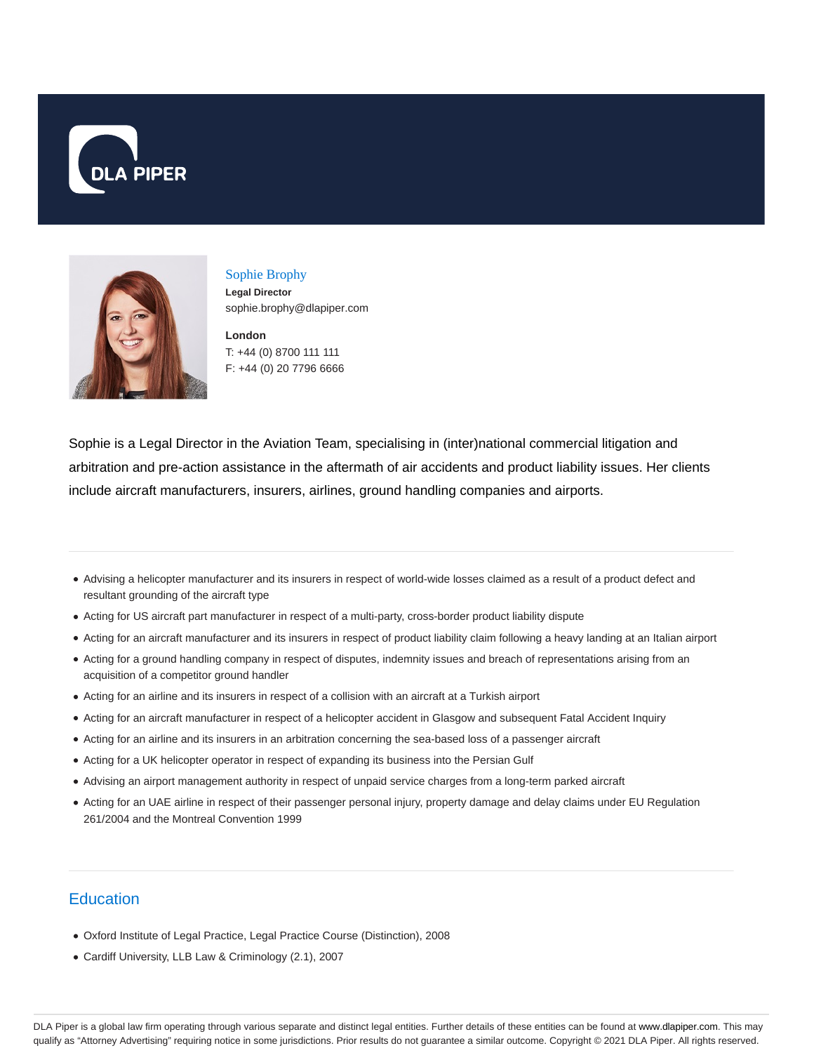



# Sophie Brophy **Legal Director**

**London** sophie.brophy@dlapiper.com

T: +44 (0) 8700 111 111 F: +44 (0) 20 7796 6666

Sophie is a Legal Director in the Aviation Team, specialising in (inter)national commercial litigation and arbitration and pre-action assistance in the aftermath of air accidents and product liability issues. Her clients include aircraft manufacturers, insurers, airlines, ground handling companies and airports.

- Advising a helicopter manufacturer and its insurers in respect of world-wide losses claimed as a result of a product defect and resultant grounding of the aircraft type
- Acting for US aircraft part manufacturer in respect of a multi-party, cross-border product liability dispute
- Acting for an aircraft manufacturer and its insurers in respect of product liability claim following a heavy landing at an Italian airport
- Acting for a ground handling company in respect of disputes, indemnity issues and breach of representations arising from an acquisition of a competitor ground handler
- Acting for an airline and its insurers in respect of a collision with an aircraft at a Turkish airport
- Acting for an aircraft manufacturer in respect of a helicopter accident in Glasgow and subsequent Fatal Accident Inquiry
- Acting for an airline and its insurers in an arbitration concerning the sea-based loss of a passenger aircraft
- Acting for a UK helicopter operator in respect of expanding its business into the Persian Gulf
- Advising an airport management authority in respect of unpaid service charges from a long-term parked aircraft
- Acting for an UAE airline in respect of their passenger personal injury, property damage and delay claims under EU Regulation 261/2004 and the Montreal Convention 1999

## **Education**

- Oxford Institute of Legal Practice, Legal Practice Course (Distinction), 2008
- Cardiff University, LLB Law & Criminology (2.1), 2007

DLA Piper is a global law firm operating through various separate and distinct legal entities. Further details of these entities can be found at www.dlapiper.com. This may qualify as "Attorney Advertising" requiring notice in some jurisdictions. Prior results do not guarantee a similar outcome. Copyright © 2021 DLA Piper. All rights reserved.